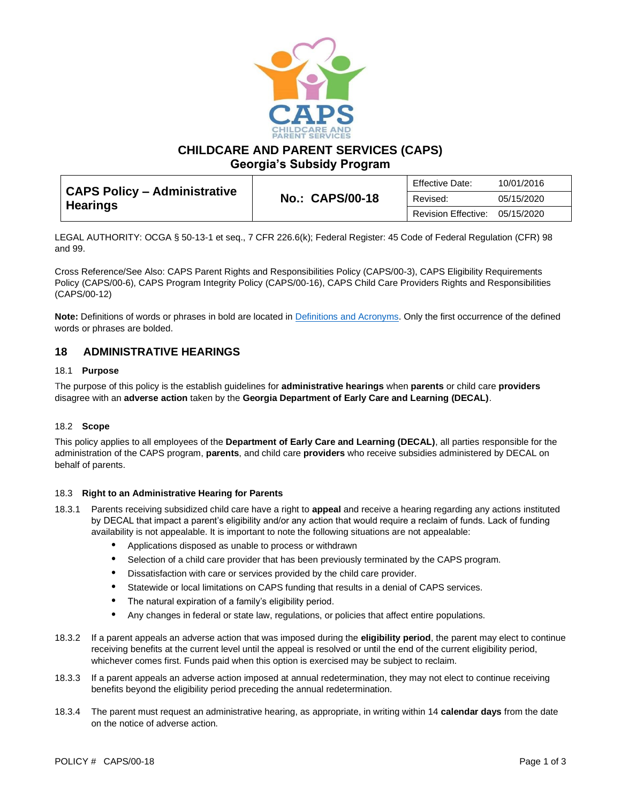

**CHILDCARE AND PARENT SERVICES (CAPS)**

**Georgia's Subsidy Program**

| <b>CAPS Policy - Administrative</b><br><b>Hearings</b> | Effective Date:<br><b>No.: CAPS/00-18</b><br>Revised:<br>Revision Effective: |            | 10/01/2016 |
|--------------------------------------------------------|------------------------------------------------------------------------------|------------|------------|
|                                                        |                                                                              |            | 05/15/2020 |
|                                                        |                                                                              | 05/15/2020 |            |

LEGAL AUTHORITY: OCGA § 50-13-1 et seq., 7 CFR 226.6(k); Federal Register: 45 Code of Federal Regulation (CFR) 98 and 99.

Cross Reference/See Also: CAPS Parent Rights and Responsibilities Policy (CAPS/00-3), CAPS Eligibility Requirements Policy (CAPS/00-6), CAPS Program Integrity Policy (CAPS/00-16), CAPS Child Care Providers Rights and Responsibilities (CAPS/00-12)

**Note:** Definitions of words or phrases in bold are located in [Definitions and Acronyms.](https://caps.decal.ga.gov/assets/downloads/CAPS/02-CAPS_Policy-Definitions%20and%20Acronyms.pdf) Only the first occurrence of the defined words or phrases are bolded.

## **18 ADMINISTRATIVE HEARINGS**

### 18.1 **Purpose**

The purpose of this policy is the establish guidelines for **administrative hearings** when **parents** or child care **providers** disagree with an **adverse action** taken by the **Georgia Department of Early Care and Learning (DECAL)**.

#### 18.2 **Scope**

This policy applies to all employees of the **Department of Early Care and Learning (DECAL)**, all parties responsible for the administration of the CAPS program, **parents**, and child care **providers** who receive subsidies administered by DECAL on behalf of parents.

#### 18.3 **Right to an Administrative Hearing for Parents**

- 18.3.1 Parents receiving subsidized child care have a right to **appeal** and receive a hearing regarding any actions instituted by DECAL that impact a parent's eligibility and/or any action that would require a reclaim of funds. Lack of funding availability is not appealable. It is important to note the following situations are not appealable:
	- Applications disposed as unable to process or withdrawn
	- Selection of a child care provider that has been previously terminated by the CAPS program.
	- Dissatisfaction with care or services provided by the child care provider.
	- Statewide or local limitations on CAPS funding that results in a denial of CAPS services.
	- The natural expiration of a family's eligibility period.
	- Any changes in federal or state law, regulations, or policies that affect entire populations.
- 18.3.2 If a parent appeals an adverse action that was imposed during the **eligibility period**, the parent may elect to continue receiving benefits at the current level until the appeal is resolved or until the end of the current eligibility period, whichever comes first. Funds paid when this option is exercised may be subject to reclaim.
- 18.3.3 If a parent appeals an adverse action imposed at annual redetermination, they may not elect to continue receiving benefits beyond the eligibility period preceding the annual redetermination.
- 18.3.4 The parent must request an administrative hearing, as appropriate, in writing within 14 **calendar days** from the date on the notice of adverse action.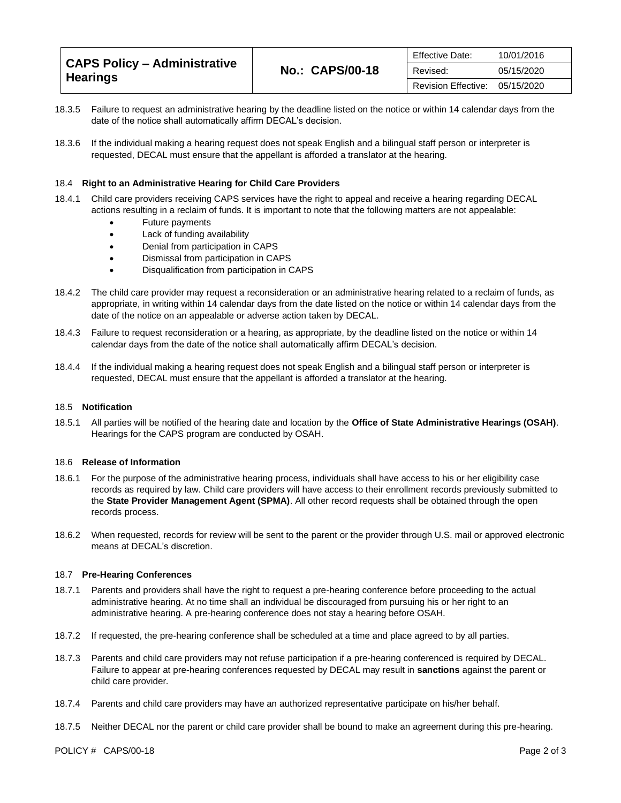| CAPS Policy – Administrative<br>Hearings | <b>No.: CAPS/00-18</b> | Effective Date:     | 10/01/2016 |
|------------------------------------------|------------------------|---------------------|------------|
|                                          |                        | Revised:            | 05/15/2020 |
|                                          |                        | Revision Effective: | 05/15/2020 |

- 18.3.5 Failure to request an administrative hearing by the deadline listed on the notice or within 14 calendar days from the date of the notice shall automatically affirm DECAL's decision.
- 18.3.6 If the individual making a hearing request does not speak English and a bilingual staff person or interpreter is requested, DECAL must ensure that the appellant is afforded a translator at the hearing.

#### 18.4 **Right to an Administrative Hearing for Child Care Providers**

- 18.4.1 Child care providers receiving CAPS services have the right to appeal and receive a hearing regarding DECAL actions resulting in a reclaim of funds. It is important to note that the following matters are not appealable:
	- Future payments
	- Lack of funding availability
	- Denial from participation in CAPS
	- Dismissal from participation in CAPS
	- Disqualification from participation in CAPS
- 18.4.2 The child care provider may request a reconsideration or an administrative hearing related to a reclaim of funds, as appropriate, in writing within 14 calendar days from the date listed on the notice or within 14 calendar days from the date of the notice on an appealable or adverse action taken by DECAL.
- 18.4.3 Failure to request reconsideration or a hearing, as appropriate, by the deadline listed on the notice or within 14 calendar days from the date of the notice shall automatically affirm DECAL's decision.
- 18.4.4 If the individual making a hearing request does not speak English and a bilingual staff person or interpreter is requested, DECAL must ensure that the appellant is afforded a translator at the hearing.

#### 18.5 **Notification**

18.5.1 All parties will be notified of the hearing date and location by the **Office of State Administrative Hearings (OSAH)**. Hearings for the CAPS program are conducted by OSAH.

#### 18.6 **Release of Information**

- 18.6.1 For the purpose of the administrative hearing process, individuals shall have access to his or her eligibility case records as required by law. Child care providers will have access to their enrollment records previously submitted to the **State Provider Management Agent (SPMA)**. All other record requests shall be obtained through the open records process.
- 18.6.2 When requested, records for review will be sent to the parent or the provider through U.S. mail or approved electronic means at DECAL's discretion.

#### 18.7 **Pre-Hearing Conferences**

- 18.7.1 Parents and providers shall have the right to request a pre-hearing conference before proceeding to the actual administrative hearing. At no time shall an individual be discouraged from pursuing his or her right to an administrative hearing. A pre-hearing conference does not stay a hearing before OSAH.
- 18.7.2 If requested, the pre-hearing conference shall be scheduled at a time and place agreed to by all parties.
- 18.7.3 Parents and child care providers may not refuse participation if a pre-hearing conferenced is required by DECAL. Failure to appear at pre-hearing conferences requested by DECAL may result in **sanctions** against the parent or child care provider.
- 18.7.4 Parents and child care providers may have an authorized representative participate on his/her behalf.
- 18.7.5 Neither DECAL nor the parent or child care provider shall be bound to make an agreement during this pre-hearing.

POLICY # CAPS/00-18 Page 2 of 3